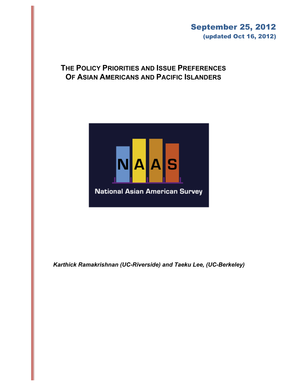# September 25, 2012 (updated Oct 16, 2012)

# **THE POLICY PRIORITIES AND ISSUE PREFERENCES OF ASIAN AMERICANS AND PACIFIC ISLANDERS**



*Karthick Ramakrishnan (UC-Riverside) and Taeku Lee, (UC-Berkeley)*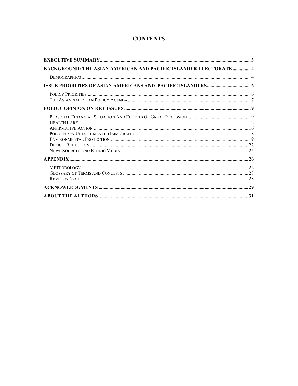# **CONTENTS**

| <b>BACKGROUND: THE ASIAN AMERICAN AND PACIFIC ISLANDER ELECTORATE  4</b> |  |
|--------------------------------------------------------------------------|--|
|                                                                          |  |
|                                                                          |  |
|                                                                          |  |
|                                                                          |  |
|                                                                          |  |
|                                                                          |  |
|                                                                          |  |
|                                                                          |  |
|                                                                          |  |
|                                                                          |  |
|                                                                          |  |
|                                                                          |  |
|                                                                          |  |
|                                                                          |  |
|                                                                          |  |
|                                                                          |  |
|                                                                          |  |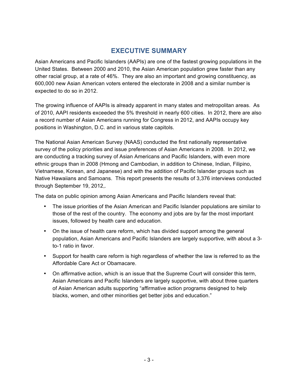# **EXECUTIVE SUMMARY**

Asian Americans and Pacific Islanders (AAPIs) are one of the fastest growing populations in the United States. Between 2000 and 2010, the Asian American population grew faster than any other racial group, at a rate of 46%. They are also an important and growing constituency, as 600,000 new Asian American voters entered the electorate in 2008 and a similar number is expected to do so in 2012.

The growing influence of AAPIs is already apparent in many states and metropolitan areas. As of 2010, AAPI residents exceeded the 5% threshold in nearly 600 cities. In 2012, there are also a record number of Asian Americans running for Congress in 2012, and AAPIs occupy key positions in Washington, D.C. and in various state capitols.

The National Asian American Survey (NAAS) conducted the first nationally representative survey of the policy priorities and issue preferences of Asian Americans in 2008. In 2012, we are conducting a tracking survey of Asian Americans and Pacific Islanders, with even more ethnic groups than in 2008 (Hmong and Cambodian, in addition to Chinese, Indian, Filipino, Vietnamese, Korean, and Japanese) and with the addition of Pacific Islander groups such as Native Hawaiians and Samoans. This report presents the results of 3,376 interviews conducted through September 19, 2012,*.*

The data on public opinion among Asian Americans and Pacific Islanders reveal that:

- The issue priorities of the Asian American and Pacific Islander populations are similar to those of the rest of the country. The economy and jobs are by far the most important issues, followed by health care and education.
- On the issue of health care reform, which has divided support among the general population, Asian Americans and Pacific Islanders are largely supportive, with about a 3 to-1 ratio in favor.
- Support for health care reform is high regardless of whether the law is referred to as the Affordable Care Act or Obamacare.
- On affirmative action, which is an issue that the Supreme Court will consider this term, Asian Americans and Pacific Islanders are largely supportive, with about three quarters of Asian American adults supporting "affirmative action programs designed to help blacks, women, and other minorities get better jobs and education."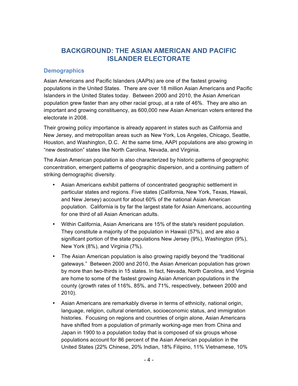# **BACKGROUND: THE ASIAN AMERICAN AND PACIFIC ISLANDER ELECTORATE**

### **Demographics**

Asian Americans and Pacific Islanders (AAPIs) are one of the fastest growing populations in the United States. There are over 18 million Asian Americans and Pacific Islanders in the United States today. Between 2000 and 2010, the Asian American population grew faster than any other racial group, at a rate of 46%. They are also an important and growing constituency, as 600,000 new Asian American voters entered the electorate in 2008.

Their growing policy importance is already apparent in states such as California and New Jersey, and metropolitan areas such as New York, Los Angeles, Chicago, Seattle, Houston, and Washington, D.C. At the same time, AAPI populations are also growing in "new destination" states like North Carolina, Nevada, and Virginia.

The Asian American population is also characterized by historic patterns of geographic concentration, emergent patterns of geographic dispersion, and a continuing pattern of striking demographic diversity.

- Asian Americans exhibit patterns of concentrated geographic settlement in particular states and regions. Five states (California, New York, Texas, Hawaii, and New Jersey) account for about 60% of the national Asian American population. California is by far the largest state for Asian Americans, accounting for one third of all Asian American adults.
- Within California, Asian Americans are 15% of the state's resident population. They constitute a majority of the population in Hawaii (57%), and are also a significant portion of the state populations New Jersey (9%), Washington (9%), New York (8%), and Virginia (7%).
- The Asian American population is also growing rapidly beyond the "traditional gateways." Between 2000 and 2010, the Asian American population has grown by more than two-thirds in 15 states. In fact, Nevada, North Carolina, and Virginia are home to some of the fastest growing Asian American populations in the county (growth rates of 116%, 85%, and 71%, respectively, between 2000 and 2010).
- Asian Americans are remarkably diverse in terms of ethnicity, national origin, language, religion, cultural orientation, socioeconomic status, and immigration histories. Focusing on regions and countries of origin alone, Asian Americans have shifted from a population of primarily working-age men from China and Japan in 1900 to a population today that is composed of six groups whose populations account for 86 percent of the Asian American population in the United States (22% Chinese, 20% Indian, 18% Filipino, 11% Vietnamese, 10%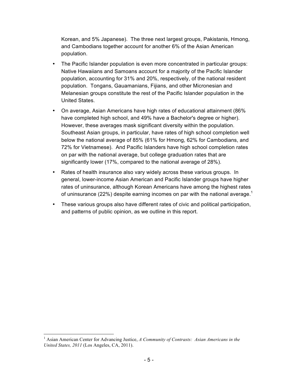Korean, and 5% Japanese). The three next largest groups, Pakistanis, Hmong, and Cambodians together account for another 6% of the Asian American population.

- The Pacific Islander population is even more concentrated in particular groups: Native Hawaiians and Samoans account for a majority of the Pacific Islander population, accounting for 31% and 20%, respectively, of the national resident population. Tongans, Gauamanians, Fijians, and other Micronesian and Melanesian groups constitute the rest of the Pacific Islander population in the United States.
- On average, Asian Americans have high rates of educational attainment (86% have completed high school, and 49% have a Bachelor's degree or higher). However, these averages mask significant diversity within the population. Southeast Asian groups, in particular, have rates of high school completion well below the national average of 85% (61% for Hmong, 62% for Cambodians, and 72% for Vietnamese). And Pacific Islanders have high school completion rates on par with the national average, but college graduation rates that are significantly lower (17%, compared to the national average of 28%).
- Rates of health insurance also vary widely across these various groups. In general, lower-income Asian American and Pacific Islander groups have higher rates of uninsurance, although Korean Americans have among the highest rates of uninsurance (22%) despite earning incomes on par with the national average.<sup>1</sup>
- These various groups also have different rates of civic and political participation, and patterns of public opinion, as we outline in this report.

 <sup>1</sup> Asian American Center for Advancing Justice, *A Community of Contrasts: Asian Americans in the United States, 2011* (Los Angeles, CA, 2011).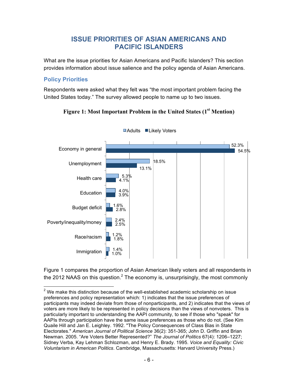# **ISSUE PRIORITIES OF ASIAN AMERICANS AND PACIFIC ISLANDERS**

What are the issue priorities for Asian Americans and Pacific Islanders? This section provides information about issue salience and the policy agenda of Asian Americans.

# **Policy Priorities**

Respondents were asked what they felt was "the most important problem facing the United States today." The survey allowed people to name up to two issues.



■Adults ■Likely Voters

**Figure 1: Most Important Problem in the United States (1st Mention)**

Figure 1 compares the proportion of Asian American likely voters and all respondents in the 2012 NAAS on this question.<sup>2</sup> The economy is, unsurprisingly, the most commonly

 $2$  We make this distinction because of the well-established academic scholarship on issue preferences and policy representation which: 1) indicates that the issue preferences of participants may indeed deviate from those of nonparticipants, and 2) indicates that the views of voters are more likely to be represented in policy decisions than the views of nonvoters. This is particularly important to understanding the AAPI community, to see if those who "speak" for AAPIs through participation have the same issue preferences as those who do not. (See Kim Quaile Hill and Jan E. Leighley. 1992. "The Policy Consequences of Class Bias in State Electorates." *American Journal of Political Science* 36(2): 351-365; John D. Griffin and Brian Newman. 2005. "Are Voters Better Represented?" *The Journal of Politics* 67(4): 1206–1227; Sidney Verba, Kay Lehman Schlozman, and Henry E. Brady. 1995. *Voice and Equality: Civic Voluntarism in American Politics*. Cambridge, Massachusetts: Harvard University Press.)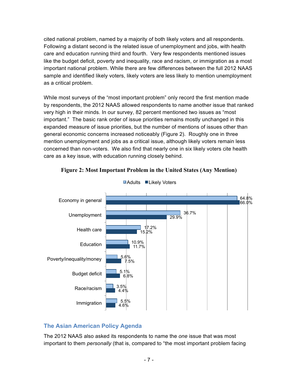cited national problem, named by a majority of both likely voters and all respondents. Following a distant second is the related issue of unemployment and jobs, with health care and education running third and fourth. Very few respondents mentioned issues like the budget deficit, poverty and inequality, race and racism, or immigration as a most important national problem. While there are few differences between the full 2012 NAAS sample and identified likely voters, likely voters are less likely to mention unemployment as a critical problem.

While most surveys of the "most important problem" only record the first mention made by respondents, the 2012 NAAS allowed respondents to name another issue that ranked very high in their minds. In our survey, 82 percent mentioned two issues as "most important." The basic rank order of issue priorities remains mostly unchanged in this expanded measure of issue priorities, but the number of mentions of issues other than general economic concerns increased noticeably (Figure 2). Roughly one in three mention unemployment and jobs as a critical issue, although likely voters remain less concerned than non-voters. We also find that nearly one in six likely voters cite health care as a key issue, with education running closely behind.





# **The Asian American Policy Agenda**

The 2012 NAAS also asked its respondents to name the *one* issue that was most important to them *personally* (that is, compared to "the most important problem facing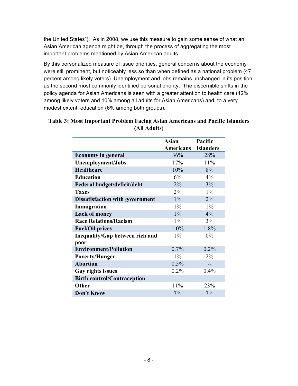the United States"). As in 2008, we use this measure to gain some sense of what an Asian American agenda might be, through the process of aggregating the most important problems mentioned by Asian American adults.

By this personalized measure of issue priorities, general concerns about the economy were still prominent, but noticeably less so than when defined as a national problem (47 percent among likely voters). Unemployment and jobs remains unchanged in its position as the second most commonly identified personal priority. The discernible shifts in the policy agenda for Asian Americans is seen with a greater attention to health care (12% among likely voters and 10% among all adults for Asian Americans) and, to a very modest extent, education (6% among both groups).

|                                                | <b>Asian</b><br>Americans | Pacific<br><b>Islanders</b> |
|------------------------------------------------|---------------------------|-----------------------------|
| <b>Economy in general</b>                      | 36%                       | 28%                         |
| <b>Unemployment/Jobs</b>                       | 17%                       | 11%                         |
| <b>Healthcare</b>                              | 10%                       | 8%                          |
| <b>Education</b>                               | 6%                        | 4%                          |
| Federal budget/deficit/debt                    | 2%                        | 3%                          |
| <b>Taxes</b>                                   | 2%                        | $1\%$                       |
| <b>Dissatisfaction with government</b>         | $1\%$                     | 2%                          |
| Immigration                                    | $1\%$                     | $1\%$                       |
| <b>Lack of money</b>                           | $1\%$                     | 4%                          |
| <b>Race Relations/Racism</b>                   | $1\%$                     | 3%                          |
| <b>Fuel/Oil prices</b>                         | 1.0%                      | 1.8%                        |
| <b>Inequality/Gap between rich and</b><br>poor | $1\%$                     | $0\%$                       |
| <b>Environment/Pollution</b>                   | 0.7%                      | 0.2%                        |
| <b>Poverty/Hunger</b>                          | $1\%$                     | $2\%$                       |
| <b>Abortion</b>                                | 0.5%                      |                             |
| Gay rights issues                              | 0.2%                      | 0.4%                        |
| <b>Birth control/Contraception</b>             |                           |                             |
| Other                                          | 11%                       | 23%                         |
| <b>Don't Know</b>                              | 7%                        | 7%                          |

## **Table 3: Most Important Problem Facing Asian Americans and Pacific Islanders (All Adults)**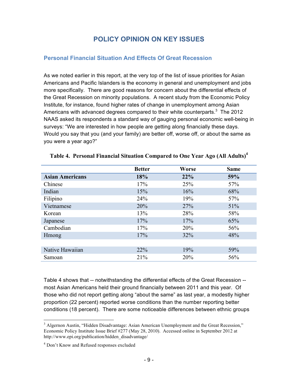# **POLICY OPINION ON KEY ISSUES**

## **Personal Financial Situation And Effects Of Great Recession**

As we noted earlier in this report, at the very top of the list of issue priorities for Asian Americans and Pacific Islanders is the economy in general and unemployment and jobs more specifically. There are good reasons for concern about the differential effects of the Great Recession on minority populations. A recent study from the Economic Policy Institute, for instance, found higher rates of change in unemployment among Asian Americans with advanced degrees compared to their white counterparts.<sup>3</sup> The 2012 NAAS asked its respondents a standard way of gauging personal economic well-being in surveys: "We are interested in how people are getting along financially these days. Would you say that you (and your family) are better off, worse off, or about the same as you were a year ago?"

|                        | <b>Better</b> | <b>Worse</b> | <b>Same</b> |
|------------------------|---------------|--------------|-------------|
| <b>Asian Americans</b> | 18%           | 22%          | 59%         |
| Chinese                | 17%           | 25%          | 57%         |
| Indian                 | 15%           | 16%          | 68%         |
| Filipino               | 24%           | 19%          | 57%         |
| Vietnamese             | 20%           | 27%          | 51%         |
| Korean                 | 13%           | 28%          | 58%         |
| Japanese               | 17%           | 17%          | 65%         |
| Cambodian              | 17%           | 20%          | 56%         |
| <b>H</b> mong          | 17%           | 32%          | 48%         |
|                        |               |              |             |
| Native Hawaiian        | 22%           | 19%          | 59%         |
| Samoan                 | 21%           | 20%          | 56%         |

#### **Table 4. Personal Financial Situation Compared to One Year Ago (All Adults)4**

Table 4 shows that -- notwithstanding the differential effects of the Great Recession - most Asian Americans held their ground financially between 2011 and this year. Of those who did not report getting along "about the same" as last year, a modestly higher proportion (22 percent) reported worse conditions than the number reporting better conditions (18 percent). There are some noticeable differences between ethnic groups

<sup>&</sup>lt;sup>3</sup> Algernon Austin, "Hidden Disadvantage: Asian American Unemployment and the Great Recession," Economic Policy Institute Issue Brief #277 (May 28, 2010). Accessed online in September 2012 at http://www.epi.org/publication/hidden\_disadvantage/

<sup>&</sup>lt;sup>4</sup> Don't Know and Refused responses excluded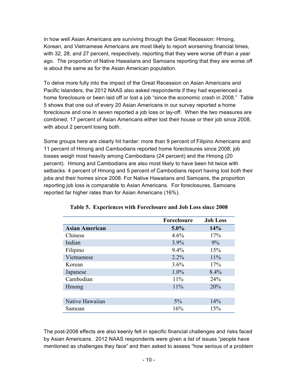in how well Asian Americans are surviving through the Great Recession: Hmong, Korean, and Vietnamese Americans are most likely to report worsening financial times, with 32, 28, and 27 percent, respectively, reporting that they were worse off than a year ago. The proportion of Native Hawaiians and Samoans reporting that they are worse off is about the same as for the Asian American population.

To delve more fully into the impact of the Great Recession on Asian Americans and Pacific Islanders, the 2012 NAAS also asked respondents if they had experienced a home foreclosure or been laid off or lost a job "since the economic crash in 2008." Table 5 shows that one out of every 20 Asian Americans in our survey reported a home foreclosure and one in seven reported a job loss or lay-off. When the two measures are combined, 17 percent of Asian Americans either lost their house or their job since 2008, with about 2 percent losing both.

Some groups here are clearly hit harder: more than 9 percent of Filipino Americans and 11 percent of Hmong and Cambodians reported home foreclosures since 2008; job losses weigh most heavily among Cambodians (24 percent) and the Hmong (20 percent). Hmong and Cambodians are also most likely to have been hit twice with setbacks: 4 percent of Hmong and 5 percent of Cambodians report having lost *both* their jobs and their homes since 2008. For Native Hawaiians and Samoans, the proportion reporting job loss is comparable to Asian Americans. For foreclosures, Samoans reported far higher rates than for Asian Americans (16%).

|                       | Foreclosure | <b>Job Loss</b> |
|-----------------------|-------------|-----------------|
| <b>Asian American</b> | $5.0\%$     | 14%             |
| Chinese               | 4.6%        | 17%             |
| Indian                | 3.9%        | 9%              |
| Filipino              | 9.4%        | 15%             |
| Vietnamese            | 2.2%        | 11%             |
| Korean                | 3.6%        | 17%             |
| Japanese              | 1.0%        | 8.4%            |
| Cambodian             | 11%         | 24%             |
| <b>H</b> mong         | 11%         | 20%             |
|                       |             |                 |
| Native Hawaiian       | 5%          | 14%             |
| Samoan                | 16%         | 15%             |

#### **Table 5. Experiences with Foreclosure and Job Loss since 2008**

The post-2008 effects are also keenly felt in specific financial challenges and risks faced by Asian Americans. 2012 NAAS respondents were given a list of issues "people have mentioned as challenges they face" and then asked to assess "how serious of a problem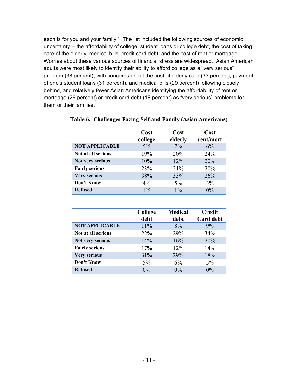each is for you and your family." The list included the following sources of economic uncertainty -- the affordability of college, student loans or college debt, the cost of taking care of the elderly, medical bills, credit card debt, and the cost of rent or mortgage. Worries about these various sources of financial stress are widespread. Asian American adults were most likely to identify their ability to afford college as a "very serious" problem (38 percent), with concerns about the cost of elderly care (33 percent), payment of one's student loans (31 percent), and medical bills (29 percent) following closely behind, and relatively fewer Asian Americans identifying the affordability of rent or mortgage (26 percent) or credit card debt (18 percent) as "very serious" problems for them or their families.

|                       | Cost    | Cost    | Cost      |
|-----------------------|---------|---------|-----------|
|                       | college | elderly | rent/mort |
| <b>NOT APPLICABLE</b> | $5\%$   | $7\%$   | 6%        |
| Not at all serious    | 19%     | 20%     | 24%       |
| Not very serious      | 10%     | 12%     | 20%       |
| <b>Fairly serious</b> | 23%     | 21%     | 20%       |
| <b>Very serious</b>   | 38%     | 33%     | 26%       |
| Don't Know            | 4%      | $5\%$   | $3\%$     |
| <b>Refused</b>        | $1\%$   | $1\%$   | $0\%$     |

### **Table 6. Challenges Facing Self and Family (Asian Americans)**

|                       | College<br>debt | <b>Medical</b><br>debt | <b>Credit</b><br><b>Card debt</b> |
|-----------------------|-----------------|------------------------|-----------------------------------|
| <b>NOT APPLICABLE</b> | 11%             | 8%                     | 9%                                |
| Not at all serious    | 22%             | 29%                    | 34%                               |
| Not very serious      | 14%             | 16%                    | 20%                               |
| <b>Fairly serious</b> | 17%             | 12%                    | 14%                               |
| <b>Very serious</b>   | 31%             | 29%                    | 18%                               |
| Don't Know            | $5\%$           | 6%                     | $5\%$                             |
| <b>Refused</b>        | $0\%$           | $0\%$                  | $0\%$                             |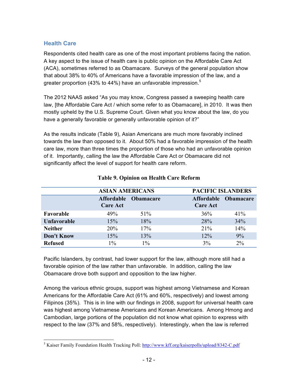# **Health Care**

Respondents cited health care as one of the most important problems facing the nation. A key aspect to the issue of health care is public opinion on the Affordable Care Act (ACA), sometimes referred to as Obamacare. Surveys of the general population show that about 38% to 40% of Americans have a favorable impression of the law, and a greater proportion (43% to 44%) have an unfavorable impression. $5$ 

The 2012 NAAS asked "As you may know, Congress passed a sweeping health care law, [the Affordable Care Act / which some refer to as Obamacare], in 2010. It was then mostly upheld by the U.S. Supreme Court. Given what you know about the law, do you have a generally favorable or generally unfavorable opinion of it?"

As the results indicate (Table 9), Asian Americans are much more favorably inclined towards the law than opposed to it. About 50% had a favorable impression of the health care law, more than three times the proportion of those who had an unfavorable opinion of it. Importantly, calling the law the Affordable Care Act or Obamacare did not significantly affect the level of support for health care reform.

|                    | <b>ASIAN AMERICANS</b>        |                  | <b>PACIFIC ISLANDERS</b> |                      |
|--------------------|-------------------------------|------------------|--------------------------|----------------------|
|                    | Affordable<br><b>Care Act</b> | <b>Obamacare</b> | <b>Care Act</b>          | Affordable Obamacare |
| Favorable          | 49%                           | $51\%$           | 36%                      | 41%                  |
| <b>Unfavorable</b> | 15%                           | 18%              | 28%                      | 34%                  |
| <b>Neither</b>     | 20%                           | 17%              | 21%                      | 14%                  |
| <b>Don't Know</b>  | 15%                           | 13%              | 12%                      | 9%                   |
| <b>Refused</b>     | $1\%$                         | $1\%$            | 3%                       | $2\%$                |

# **Table 9. Opinion on Health Care Reform**

Pacific Islanders, by contrast, had lower support for the law, although more still had a favorable opinion of the law rather than unfavorable. In addition, calling the law Obamacare drove both support and opposition to the law higher.

Among the various ethnic groups, support was highest among Vietnamese and Korean Americans for the Affordable Care Act (61% and 60%, respectively) and lowest among Filipinos (35%). This is in line with our findings in 2008, support for universal health care was highest among Vietnamese Americans and Korean Americans. Among Hmong and Cambodian, large portions of the population did not know what opinion to express with respect to the law (37% and 58%, respectively). Interestingly, when the law is referred

<sup>&</sup>lt;sup>5</sup> Kaiser Family Foundation Health Tracking Poll: http://www.kff.org/kaiserpolls/upload/8342-C.pdf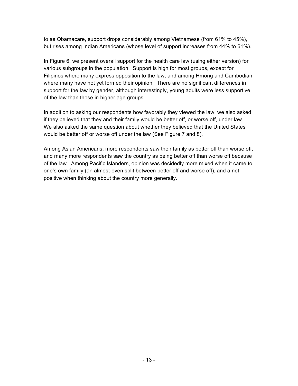to as Obamacare, support drops considerably among Vietnamese (from 61% to 45%), but rises among Indian Americans (whose level of support increases from 44% to 61%).

In Figure 6, we present overall support for the health care law (using either version) for various subgroups in the population. Support is high for most groups, except for Filipinos where many express opposition to the law, and among Hmong and Cambodian where many have not yet formed their opinion. There are no significant differences in support for the law by gender, although interestingly, young adults were less supportive of the law than those in higher age groups.

In addition to asking our respondents how favorably they viewed the law, we also asked if they believed that they and their family would be better off, or worse off, under law. We also asked the same question about whether they believed that the United States would be better off or worse off under the law (See Figure 7 and 8).

Among Asian Americans, more respondents saw their family as better off than worse off, and many more respondents saw the country as being better off than worse off because of the law. Among Pacific Islanders, opinion was decidedly more mixed when it came to one's own family (an almost-even split between better off and worse off), and a net positive when thinking about the country more generally.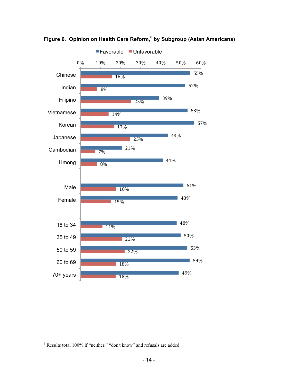

**Figure 6. Opinion on Health Care Reform,** <sup>6</sup> **by Subgroup (Asian Americans)**

 $6$  Results total 100% if "neither," "don't know" and refusals are added.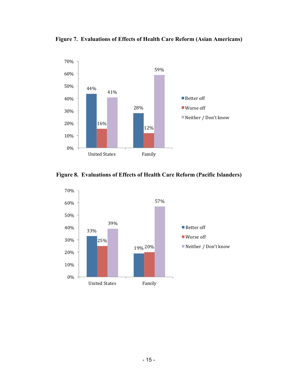**Figure 7. Evaluations of Effects of Health Care Reform (Asian Americans)**



**Figure 8. Evaluations of Effects of Health Care Reform (Pacific Islanders)**

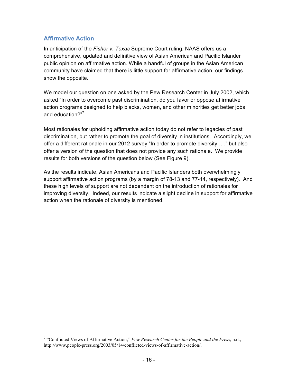# **Affirmative Action**

In anticipation of the *Fisher v. Texas* Supreme Court ruling, NAAS offers us a comprehensive, updated and definitive view of Asian American and Pacific Islander public opinion on affirmative action. While a handful of groups in the Asian American community have claimed that there is little support for affirmative action, our findings show the opposite.

We model our question on one asked by the Pew Research Center in July 2002, which asked "In order to overcome past discrimination, do you favor or oppose affirmative action programs designed to help blacks, women, and other minorities get better jobs and education?"<sup>7</sup>

Most rationales for upholding affirmative action today do not refer to legacies of past discrimination, but rather to promote the goal of diversity in institutions. Accordingly, we offer a different rationale in our 2012 survey "In order to promote diversity… ," but also offer a version of the question that does not provide any such rationale. We provide results for both versions of the question below (See Figure 9).

As the results indicate, Asian Americans and Pacific Islanders both overwhelmingly support affirmative action programs (by a margin of 78-13 and 77-14, respectively). And these high levels of support are not dependent on the introduction of rationales for improving diversity. Indeed, our results indicate a slight decline in support for affirmative action when the rationale of diversity is mentioned.

 <sup>7</sup> "Conflicted Views of Affirmative Action," *Pew Research Center for the People and the Press*, n.d., http://www.people-press.org/2003/05/14/conflicted-views-of-affirmative-action/.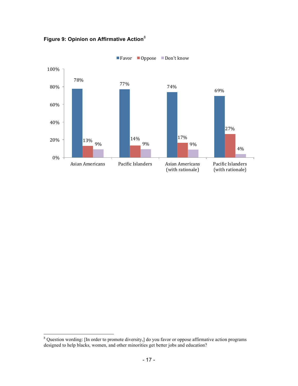

**Figure 9: Opinion on Affirmative Action**<sup>8</sup>

 <sup>8</sup> Question wording: [In order to promote diversity,] do you favor or oppose affirmative action programs designed to help blacks, women, and other minorities get better jobs and education?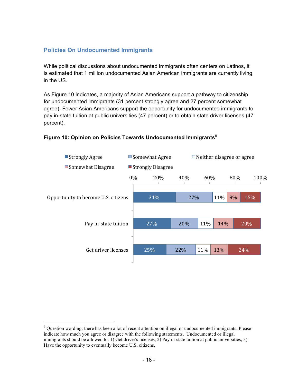## **Policies On Undocumented Immigrants**

While political discussions about undocumented immigrants often centers on Latinos, it is estimated that 1 million undocumented Asian American immigrants are currently living in the US.

As Figure 10 indicates, a majority of Asian Americans support a pathway to citizenship for undocumented immigrants (31 percent strongly agree and 27 percent somewhat agree). Fewer Asian Americans support the opportunity for undocumented immigrants to pay in-state tuition at public universities (47 percent) or to obtain state driver licenses (47 percent).

#### Figure 10: Opinion on Policies Towards Undocumented Immigrants<sup>9</sup>



<sup>&</sup>lt;sup>9</sup> Question wording: there has been a lot of recent attention on illegal or undocumented immigrants. Please indicate how much you agree or disagree with the following statements. Undocumented or illegal immigrants should be allowed to: 1) Get driver's licenses, 2) Pay in-state tuition at public universities, 3) Have the opportunity to eventually become U.S. citizens.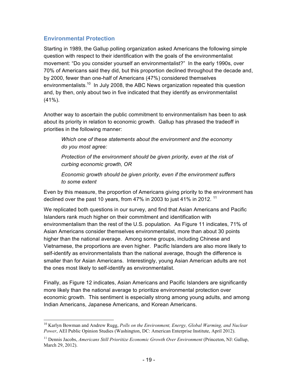## **Environmental Protection**

Starting in 1989, the Gallup polling organization asked Americans the following simple question with respect to their identification with the goals of the environmentalist movement: "Do you consider yourself an environmentalist?" In the early 1990s, over 70% of Americans said they did, but this proportion declined throughout the decade and, by 2000, fewer than one-half of Americans (47%) considered themselves environmentalists.<sup>10</sup> In July 2008, the ABC News organization repeated this question and, by then, only about two in five indicated that they identify as environmentalist (41%).

Another way to ascertain the public commitment to environmentalism has been to ask about its priority in relation to economic growth. Gallup has phrased the tradeoff in priorities in the following manner:

*Which one of these statements about the environment and the economy do you most agree:* 

*Protection of the environment should be given priority, even at the risk of curbing economic growth, OR*

*Economic growth should be given priority, even if the environment suffers to some extent*

Even by this measure, the proportion of Americans giving priority to the environment has declined over the past 10 years, from 47% in 2003 to just 41% in 2012.  $11$ 

We replicated both questions in our survey, and find that Asian Americans and Pacific Islanders rank much higher on their commitment and identification with environmentalism than the rest of the U.S. population. As Figure 11 indicates, 71% of Asian Americans consider themselves environmentalist, more than about 30 points higher than the national average. Among some groups, including Chinese and Vietnamese, the proportions are even higher. Pacific Islanders are also more likely to self-identify as environmentalists than the national average, though the difference is smaller than for Asian Americans. Interestingly, young Asian American adults are not the ones most likely to self-identify as environmentalist.

Finally, as Figure 12 indicates, Asian Americans and Pacific Islanders are significantly more likely than the national average to prioritize environmental protection over economic growth. This sentiment is especially strong among young adults, and among Indian Americans, Japanese Americans, and Korean Americans.

 <sup>10</sup> Karlyn Bowman and Andrew Rugg, *Polls on the Environment, Energy, Global Warming, and Nuclear Power*, AEI Public Opinion Studies (Washington, DC: American Enterprise Institute, April 2012).

<sup>&</sup>lt;sup>11</sup> Dennis Jacobs, *Americans Still Prioritize Economic Growth Over Environment* (Princeton, NJ: Gallup, March 29, 2012).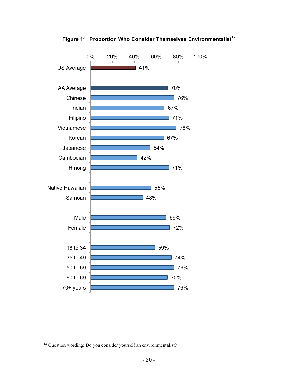

Figure 11: Proportion Who Consider Themselves Environmentalist<sup>12</sup>

<sup>&</sup>lt;sup>12</sup> Question wording: Do you consider yourself an environmentalist?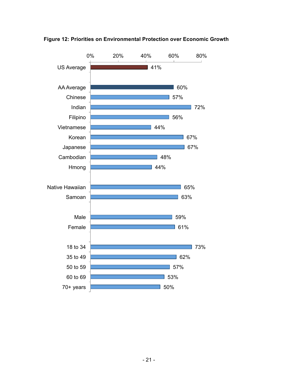

**Figure 12: Priorities on Environmental Protection over Economic Growth**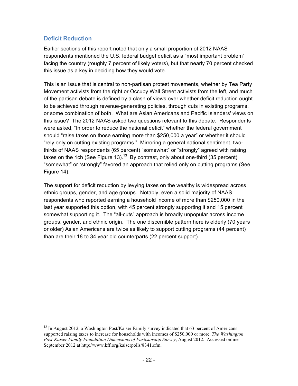## **Deficit Reduction**

Earlier sections of this report noted that only a small proportion of 2012 NAAS respondents mentioned the U.S. federal budget deficit as a "most important problem" facing the country (roughly 7 percent of likely voters), but that nearly 70 percent checked this issue as a key in deciding how they would vote.

This is an issue that is central to non-partisan protest movements, whether by Tea Party Movement activists from the right or Occupy Wall Street activists from the left, and much of the partisan debate is defined by a clash of views over whether deficit reduction ought to be achieved through revenue-generating policies, through cuts in existing programs, or some combination of both. What are Asian Americans and Pacific Islanders' views on this issue? The 2012 NAAS asked two questions relevant to this debate. Respondents were asked, "In order to reduce the national deficit" whether the federal government should "raise taxes on those earning more than \$250,000 a year" or whether it should "rely only on cutting existing programs." Mirroring a general national sentiment, twothirds of NAAS respondents (65 percent) "somewhat" or "strongly" agreed with raising taxes on the rich (See Figure 13).<sup>13</sup> By contrast, only about one-third (35 percent) "somewhat" or "strongly" favored an approach that relied only on cutting programs (See Figure 14).

The support for deficit reduction by levying taxes on the wealthy is widespread across ethnic groups, gender, and age groups. Notably, even a solid majority of NAAS respondents who reported earning a household income of more than \$250,000 in the last year supported this option, with 45 percent strongly supporting it and 15 percent somewhat supporting it. The "all-cuts" approach is broadly unpopular across income groups, gender, and ethnic origin. The one discernible pattern here is elderly (70 years or older) Asian Americans are twice as likely to support cutting programs (44 percent) than are their 18 to 34 year old counterparts (22 percent support).

 $<sup>13</sup>$  In August 2012, a Washington Post/Kaiser Family survey indicated that 63 percent of Americans</sup> supported raising taxes to increase for households with incomes of \$250,000 or more. *The Washington Post-Kaiser Family Foundation Dimensions of Partisanship Survey*, August 2012. Accessed online September 2012 at http://www.kff.org/kaiserpolls/8341.cfm.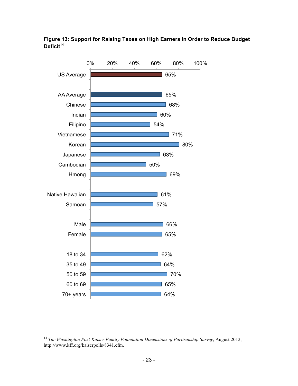



 <sup>14</sup> *The Washington Post-Kaiser Family Foundation Dimensions of Partisanship Survey*, August 2012, http://www.kff.org/kaiserpolls/8341.cfm.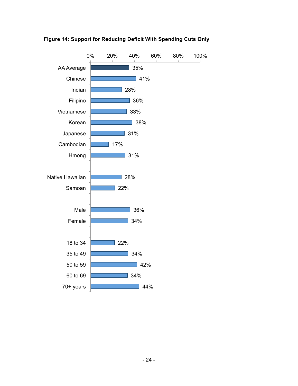

**Figure 14: Support for Reducing Deficit With Spending Cuts Only**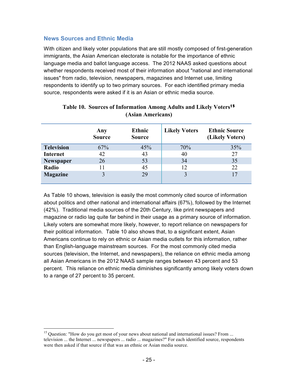### **News Sources and Ethnic Media**

With citizen and likely voter populations that are still mostly composed of first-generation immigrants, the Asian American electorate is notable for the importance of ethnic language media and ballot language access. The 2012 NAAS asked questions about whether respondents received most of their information about "national and international issues" from radio, television, newspapers, magazines and Internet use, limiting respondents to identify up to two primary sources. For each identified primary media source, respondents were asked if it is an Asian or ethnic media source.

|                   | Any<br><b>Source</b> | <b>Ethnic</b><br><b>Source</b> | <b>Likely Voters</b> | <b>Ethnic Source</b><br>(Likely Voters) |
|-------------------|----------------------|--------------------------------|----------------------|-----------------------------------------|
| <b>Television</b> | 67%                  | 45%                            | 70%                  | 35%                                     |
| <b>Internet</b>   | 42                   | 43                             | 40                   | 27                                      |
| <b>Newspaper</b>  | 26                   | 53                             | 34                   | 35                                      |
| Radio             |                      | 45                             | 12                   | 22                                      |
| <b>Magazine</b>   |                      | 29                             |                      | 17                                      |

### **Table 10. Sources of Information Among Adults and Likely Voters<sup>15</sup> (Asian Americans)**

As Table 10 shows, television is easily the most commonly cited source of information about politics and other national and international affairs (67%), followed by the Internet (42%). Traditional media sources of the 20th Century, like print newspapers and magazine or radio lag quite far behind in their usage as a primary source of information. Likely voters are somewhat more likely, however, to report reliance on newspapers for their political information. Table 10 also shows that, to a significant extent, Asian Americans continue to rely on ethnic or Asian media outlets for this information, rather than English-language mainstream sources. For the most commonly cited media sources (television, the Internet, and newspapers), the reliance on ethnic media among all Asian Americans in the 2012 NAAS sample ranges between 43 percent and 53 percent. This reliance on ethnic media diminishes significantly among likely voters down to a range of 27 percent to 35 percent.

<sup>&</sup>lt;sup>15</sup> Question: "How do you get most of your news about national and international issues? From ... television ... the Internet ... newspapers ... radio ... magazines?" For each identified source, respondents were then asked if that source if that was an ethnic or Asian media source.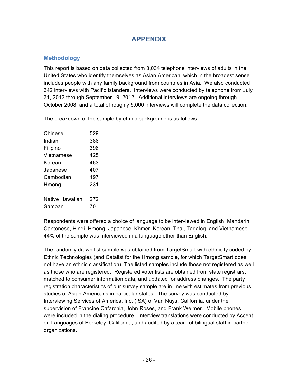# **APPENDIX**

# **Methodology**

This report is based on data collected from 3,034 telephone interviews of adults in the United States who identify themselves as Asian American, which in the broadest sense includes people with any family background from countries in Asia. We also conducted 342 interviews with Pacific Islanders. Interviews were conducted by telephone from July 31, 2012 through September 19, 2012. Additional interviews are ongoing through October 2008, and a total of roughly 5,000 interviews will complete the data collection.

The breakdown of the sample by ethnic background is as follows:

| Chinese         | 529 |
|-----------------|-----|
| Indian          | 386 |
| Filipino        | 396 |
| Vietnamese      | 425 |
| Korean          | 463 |
| Japanese        | 407 |
| Cambodian       | 197 |
| Hmong           | 231 |
| Native Hawaiian | 272 |
| Samoan          | 70  |

Respondents were offered a choice of language to be interviewed in English, Mandarin, Cantonese, Hindi, Hmong, Japanese, Khmer, Korean, Thai, Tagalog, and Vietnamese. 44% of the sample was interviewed in a language other than English.

The randomly drawn list sample was obtained from TargetSmart with ethnicity coded by Ethnic Technologies (and Catalist for the Hmong sample, for which TargetSmart does not have an ethnic classification). The listed samples include those not registered as well as those who are registered. Registered voter lists are obtained from state registrars, matched to consumer information data, and updated for address changes. The party registration characteristics of our survey sample are in line with estimates from previous studies of Asian Americans in particular states. The survey was conducted by Interviewing Services of America, Inc. (ISA) of Van Nuys, California, under the supervision of Francine Cafarchia, John Roses, and Frank Weimer. Mobile phones were included in the dialing procedure. Interview translations were conducted by Accent on Languages of Berkeley, California, and audited by a team of bilingual staff in partner organizations.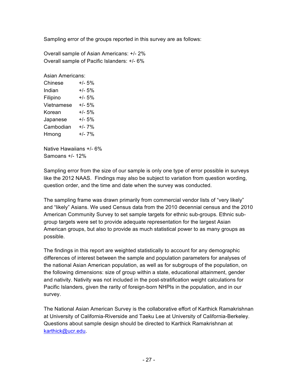Sampling error of the groups reported in this survey are as follows:

Overall sample of Asian Americans: +/- 2% Overall sample of Pacific Islanders: +/- 6%

Asian Americans:

| Chinese    | +/- 5%   |
|------------|----------|
| Indian     | +/- 5%   |
| Filipino   | $+/- 5%$ |
| Vietnamese | +/- 5%   |
| Korean     | $+/- 5%$ |
| Japanese   | +/- 5%   |
| Cambodian  | +/- 7%   |
| Hmong      | $+/- 7%$ |
|            |          |

Native Hawaiians +/- 6% Samoans +/- 12%

Sampling error from the size of our sample is only one type of error possible in surveys like the 2012 NAAS. Findings may also be subject to variation from question wording, question order, and the time and date when the survey was conducted.

The sampling frame was drawn primarily from commercial vendor lists of "very likely" and "likely" Asians. We used Census data from the 2010 decennial census and the 2010 American Community Survey to set sample targets for ethnic sub-groups. Ethnic subgroup targets were set to provide adequate representation for the largest Asian American groups, but also to provide as much statistical power to as many groups as possible.

The findings in this report are weighted statistically to account for any demographic differences of interest between the sample and population parameters for analyses of the national Asian American population, as well as for subgroups of the population, on the following dimensions: size of group within a state, educational attainment, gender and nativity. Nativity was not included in the post-stratification weight calculations for Pacific Islanders, given the rarity of foreign-born NHPIs in the population, and in our survey.

The National Asian American Survey is the collaborative effort of Karthick Ramakrishnan at University of California-Riverside and Taeku Lee at University of California-Berkeley. Questions about sample design should be directed to Karthick Ramakrishnan at karthick@ucr.edu.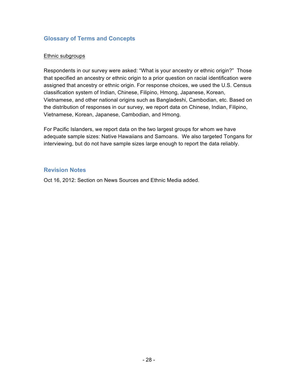## **Glossary of Terms and Concepts**

#### Ethnic subgroups

Respondents in our survey were asked: "What is your ancestry or ethnic origin?" Those that specified an ancestry or ethnic origin to a prior question on racial identification were assigned that ancestry or ethnic origin. For response choices, we used the U.S. Census classification system of Indian, Chinese, Filipino, Hmong, Japanese, Korean, Vietnamese, and other national origins such as Bangladeshi, Cambodian, etc. Based on the distribution of responses in our survey, we report data on Chinese, Indian, Filipino, Vietnamese, Korean, Japanese, Cambodian, and Hmong.

For Pacific Islanders, we report data on the two largest groups for whom we have adequate sample sizes: Native Hawaiians and Samoans. We also targeted Tongans for interviewing, but do not have sample sizes large enough to report the data reliably.

### **Revision Notes**

Oct 16, 2012: Section on News Sources and Ethnic Media added.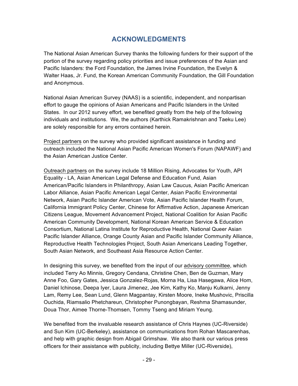# **ACKNOWLEDGMENTS**

The National Asian American Survey thanks the following funders for their support of the portion of the survey regarding policy priorities and issue preferences of the Asian and Pacific Islanders: the Ford Foundation, the James Irvine Foundation, the Evelyn & Walter Haas, Jr. Fund, the Korean American Community Foundation, the Gill Foundation and Anonymous.

National Asian American Survey (NAAS) is a scientific, independent, and nonpartisan effort to gauge the opinions of Asian Americans and Pacific Islanders in the United States. In our 2012 survey effort, we benefited greatly from the help of the following individuals and institutions. We, the authors (Karthick Ramakrishnan and Taeku Lee) are solely responsible for any errors contained herein.

Project partners on the survey who provided significant assistance in funding and outreach included the National Asian Pacific American Women's Forum (NAPAWF) and the Asian American Justice Center.

Outreach partners on the survey include 18 Million Rising, Advocates for Youth, API Equality - LA, Asian American Legal Defense and Education Fund, Asian American/Pacific Islanders in Philanthropy, Asian Law Caucus, Asian Pacific American Labor Alliance, Asian Pacific American Legal Center, Asian Pacific Environmental Network, Asian Pacific Islander American Vote, Asian Pacific Islander Health Forum, California Immigrant Policy Center, Chinese for Affirmative Action, Japanese American Citizens League, Movement Advancement Project, National Coalition for Asian Pacific American Community Development, National Korean American Service & Education Consortium, National Latina Institute for Reproductive Health, National Queer Asian Pacific Islander Alliance, Orange County Asian and Pacific Islander Community Alliance, Reproductive Health Technologies Project, South Asian Americans Leading Together, South Asian Network, and Southeast Asia Resource Action Center.

In designing this survey, we benefited from the input of our advisory committee, which included Terry Ao Minnis, Gregory Cendana, Christine Chen, Ben de Guzman, Mary Anne Foo, Gary Gates, Jessica Gonzalez-Rojas, Morna Ha, Lisa Hasegawa, Alice Hom, Daniel Ichinose, Deepa Iyer, Laura Jimenez, Jee Kim, Kathy Ko, Manju Kulkarni, Jenny Lam, Remy Lee, Sean Lund, Glenn Magpantay, Kirsten Moore, Ineke Mushovic, Priscilla Ouchida, Riamsalio Phetchareun, Christopher Punongbayan, Reshma Shamasunder, Doua Thor, Aimee Thorne-Thomsen, Tommy Tseng and Miriam Yeung.

We benefited from the invaluable research assistance of Chris Haynes (UC-Riverside) and Sun Kim (UC-Berkeley), assistance on communications from Rohan Mascarenhas, and help with graphic design from Abigail Grimshaw. We also thank our various press officers for their assistance with publicity, including Bettye Miller (UC-Riverside),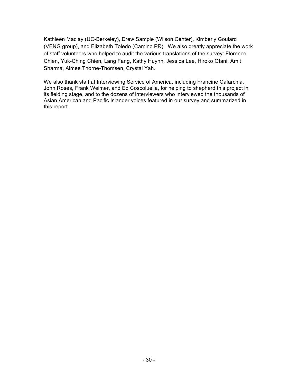Kathleen Maclay (UC-Berkeley), Drew Sample (Wilson Center), Kimberly Goulard (VENG group), and Elizabeth Toledo (Camino PR). We also greatly appreciate the work of staff volunteers who helped to audit the various translations of the survey: Florence Chien, Yuk-Ching Chien, Lang Fang, Kathy Huynh, Jessica Lee, Hiroko Otani, Amit Sharma, Aimee Thorne-Thomsen, Crystal Yah.

We also thank staff at Interviewing Service of America, including Francine Cafarchia, John Roses, Frank Weimer, and Ed Coscoluella, for helping to shepherd this project in its fielding stage, and to the dozens of interviewers who interviewed the thousands of Asian American and Pacific Islander voices featured in our survey and summarized in this report.